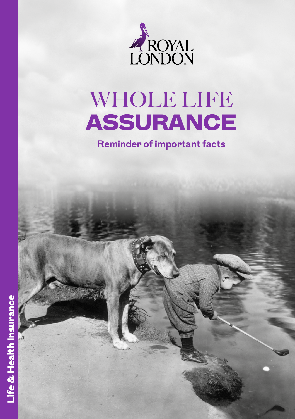

# WHOLE LIFE ASSURANCE

**Reminder of important facts**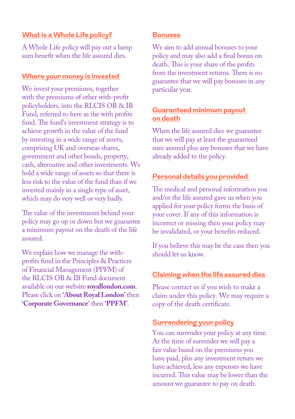## **What is a Whole Life policy?**

A Whole Life policy will pay out a lump sum benefit when the life assured dies.

#### **Where your money is invested**

We invest your premiums, together with the premiums of other with-profit policyholders, into the RLCIS OB & IB Fund, referred to here as the with profits fund. The fund's investment strategy is to achieve growth in the value of the fund by investing in a wide range of assets, comprising UK and overseas shares, government and other bonds, property, cash, alternative and other investments. We hold a wide range of assets so that there is less risk to the value of the fund than if we invested mainly in a single type of asset, which may do very well or very badly.

The value of the investments behind your policy may go up or down but we guarantee a minimum payout on the death of the life assured.

We explain how we manage the withprofits fund in the Principles & Practices of Financial Management (PPFM) of the RLCIS OB & IB Fund document available on our website **[royallondon.com](http://royallondon.com)**. Please click on **'About Royal London'** then **'Corporate Governance'** then **'PPFM'**.

#### **Bonuses**

We aim to add annual bonuses to your policy and may also add a final bonus on death. This is your share of the profits from the investment returns. There is no guarantee that we will pay bonuses in any particular year.

# **Guaranteed minimum payout on death**

When the life assured dies we guarantee that we will pay at least the guaranteed sum assured plus any bonuses that we have already added to the policy.

# **Personal details you provided**

The medical and personal information you and/or the life assured gave us when you applied for your policy forms the basis of your cover. If any of this information is incorrect or missing then your policy may be invalidated, or your benefits reduced.

If you believe this may be the case then you should let us know.

# **Claiming when the life assured dies**

Please contact us if you wish to make a claim under this policy. We may require a copy of the death certificate.

# **Surrendering your policy**

You can surrender your policy at any time. At the time of surrender we will pay a fair value based on the premiums you have paid, plus any investment return we have achieved, less any expenses we have incurred. This value may be lower than the amount we guarantee to pay on death.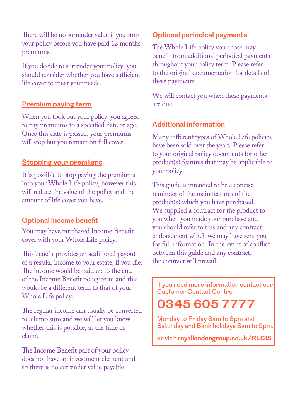There will be no surrender value if you stop your policy before you have paid 12 months' premiums.

If you decide to surrender your policy, you should consider whether you have sufficient life cover to meet your needs.

#### **Premium paying term**

When you took out your policy, you agreed to pay premiums to a specified date or age. Once this date is passed, your premiums will stop but you remain on full cover.

#### **Stopping your premiums**

It is possible to stop paying the premiums into your Whole Life policy, however this will reduce the value of the policy and the amount of life cover you have.

## **Optional income benefit**

You may have purchased Income Benefit cover with your Whole Life policy.

This benefit provides an additional payout of a regular income to your estate, if you die. The income would be paid up to the end of the Income Benefit policy term and this would be a different term to that of your Whole Life policy.

The regular income can usually be converted to a lump sum and we will let you know whether this is possible, at the time of claim.

The Income Benefit part of your policy does not have an investment element and so there is no surrender value payable.

# **Optional periodical payments**

The Whole Life policy you chose may benefit from additional periodical payments throughout your policy term. Please refer to the original documentation for details of these payments.

We will contact you when these payments are due.

#### **Additional information**

Many different types of Whole Life policies have been sold over the years. Please refer to your original policy documents for other product(s) features that may be applicable to your policy.

This guide is intended to be a concise reminder of the main features of the product(s) which you have purchased. We supplied a contract for the product to you when you made your purchase and you should refer to this and any contract endorsement which we may have sent you for full information. In the event of conflict between this guide and any contract, the contract will prevail.

If you need more information contact our Customer Contact Centre

# **0345 605 7777**

Monday to Friday 8am to 8pm and Saturday and Bank holidays 8am to 5pm.

or visit **[royallondongroup.co.uk/RLCIS](http://www.royallondongroup.co.uk/RLCIS)**